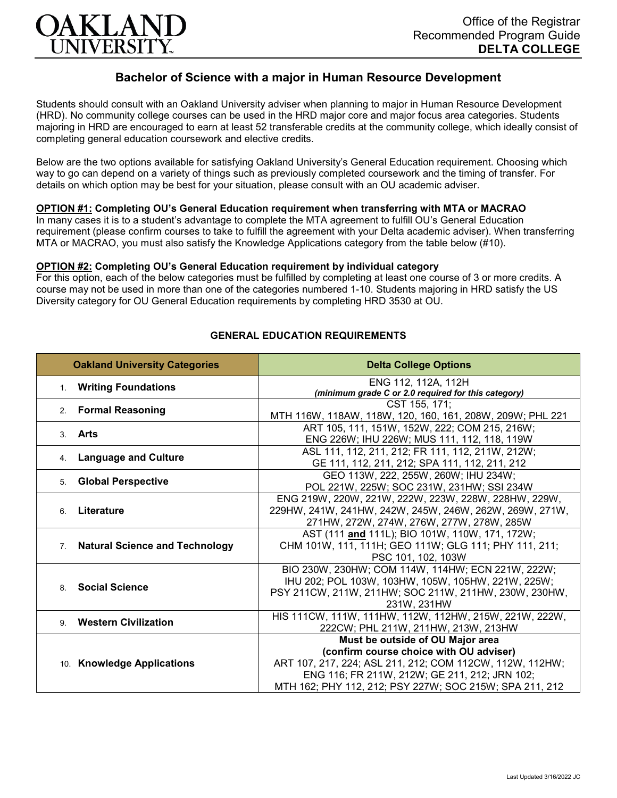

# **Bachelor of Science with a major in Human Resource Development**

Students should consult with an Oakland University adviser when planning to major in Human Resource Development (HRD). No community college courses can be used in the HRD major core and major focus area categories. Students majoring in HRD are encouraged to earn at least 52 transferable credits at the community college, which ideally consist of completing general education coursework and elective credits.

Below are the two options available for satisfying Oakland University's General Education requirement. Choosing which way to go can depend on a variety of things such as previously completed coursework and the timing of transfer. For details on which option may be best for your situation, please consult with an OU academic adviser.

### **OPTION #1: Completing OU's General Education requirement when transferring with MTA or MACRAO**

In many cases it is to a student's advantage to complete the MTA agreement to fulfill OU's General Education requirement (please confirm courses to take to fulfill the agreement with your Delta academic adviser). When transferring MTA or MACRAO, you must also satisfy the Knowledge Applications category from the table below (#10).

#### **OPTION #2: Completing OU's General Education requirement by individual category**

For this option, each of the below categories must be fulfilled by completing at least one course of 3 or more credits. A course may not be used in more than one of the categories numbered 1-10. Students majoring in HRD satisfy the US Diversity category for OU General Education requirements by completing HRD 3530 at OU.

| <b>Oakland University Categories</b> | <b>Delta College Options</b>                                               |
|--------------------------------------|----------------------------------------------------------------------------|
| 1. Writing Foundations               | ENG 112, 112A, 112H<br>(minimum grade C or 2.0 required for this category) |
| 2. Formal Reasoning                  | CST 155, 171;                                                              |
|                                      | MTH 116W, 118AW, 118W, 120, 160, 161, 208W, 209W; PHL 221                  |
| Arts<br>3                            | ART 105, 111, 151W, 152W, 222; COM 215, 216W;                              |
|                                      | ENG 226W; IHU 226W; MUS 111, 112, 118, 119W                                |
| 4. Language and Culture              | ASL 111, 112, 211, 212; FR 111, 112, 211W, 212W;                           |
|                                      | GE 111, 112, 211, 212; SPA 111, 112, 211, 212                              |
| <b>Global Perspective</b><br>5.      | GEO 113W, 222, 255W, 260W; IHU 234W;                                       |
|                                      | POL 221W, 225W; SOC 231W, 231HW; SSI 234W                                  |
| Literature<br>6.                     | ENG 219W, 220W, 221W, 222W, 223W, 228W, 228HW, 229W,                       |
|                                      | 229HW, 241W, 241HW, 242W, 245W, 246W, 262W, 269W, 271W,                    |
|                                      | 271HW, 272W, 274W, 276W, 277W, 278W, 285W                                  |
| 7. Natural Science and Technology    | AST (111 and 111L); BIO 101W, 110W, 171, 172W;                             |
|                                      | CHM 101W, 111, 111H; GEO 111W; GLG 111; PHY 111, 211;                      |
|                                      | PSC 101, 102, 103W                                                         |
| <b>Social Science</b><br>8           | BIO 230W, 230HW; COM 114W, 114HW; ECN 221W, 222W;                          |
|                                      | IHU 202; POL 103W, 103HW, 105W, 105HW, 221W, 225W;                         |
|                                      | PSY 211CW, 211W, 211HW; SOC 211W, 211HW, 230W, 230HW,                      |
|                                      | 231W, 231HW                                                                |
| 9. Western Civilization              | HIS 111CW, 111W, 111HW, 112W, 112HW, 215W, 221W, 222W,                     |
|                                      | 222CW; PHL 211W, 211HW, 213W, 213HW                                        |
| 10. Knowledge Applications           | Must be outside of OU Major area                                           |
|                                      | (confirm course choice with OU adviser)                                    |
|                                      | ART 107, 217, 224; ASL 211, 212; COM 112CW, 112W, 112HW;                   |
|                                      | ENG 116; FR 211W, 212W; GE 211, 212; JRN 102;                              |
|                                      | MTH 162; PHY 112, 212; PSY 227W; SOC 215W; SPA 211, 212                    |

#### **GENERAL EDUCATION REQUIREMENTS**